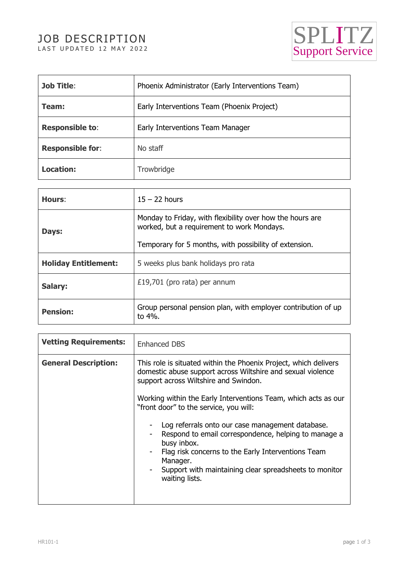# JOB DESCRIPTION LAST UPDATED 12 MAY 2022



| <b>Job Title:</b>       | Phoenix Administrator (Early Interventions Team) |
|-------------------------|--------------------------------------------------|
| Team:                   | Early Interventions Team (Phoenix Project)       |
| <b>Responsible to:</b>  | Early Interventions Team Manager                 |
| <b>Responsible for:</b> | No staff                                         |
| <b>Location:</b>        | Trowbridge                                       |

| Hours:                      | $15 - 22$ hours                                                                                         |
|-----------------------------|---------------------------------------------------------------------------------------------------------|
| Days:                       | Monday to Friday, with flexibility over how the hours are<br>worked, but a requirement to work Mondays. |
|                             | Temporary for 5 months, with possibility of extension.                                                  |
| <b>Holiday Entitlement:</b> | 5 weeks plus bank holidays pro rata                                                                     |
| <b>Salary:</b>              | £19,701 (pro rata) per annum                                                                            |
| <b>Pension:</b>             | Group personal pension plan, with employer contribution of up<br>to 4%.                                 |

| <b>Vetting Requirements:</b> | <b>Enhanced DBS</b>                                                                                                                                                                                                                                                                  |
|------------------------------|--------------------------------------------------------------------------------------------------------------------------------------------------------------------------------------------------------------------------------------------------------------------------------------|
| <b>General Description:</b>  | This role is situated within the Phoenix Project, which delivers<br>domestic abuse support across Wiltshire and sexual violence<br>support across Wiltshire and Swindon.<br>Working within the Early Interventions Team, which acts as our<br>"front door" to the service, you will: |
|                              | Log referrals onto our case management database.<br>Respond to email correspondence, helping to manage a<br>busy inbox.<br>Flag risk concerns to the Early Interventions Team<br>Manager.<br>Support with maintaining clear spreadsheets to monitor<br>waiting lists.                |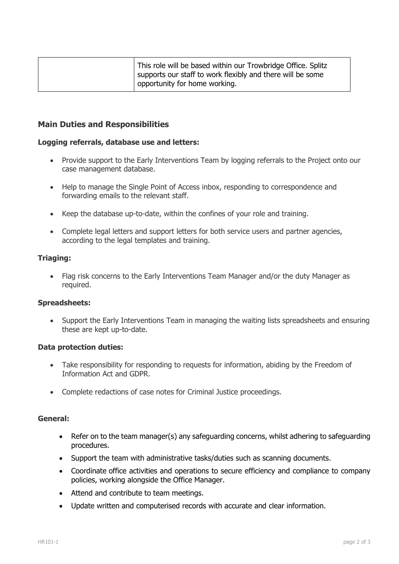| This role will be based within our Trowbridge Office. Splitz<br>I supports our staff to work flexibly and there will be some |
|------------------------------------------------------------------------------------------------------------------------------|
| I opportunity for home working.                                                                                              |

### **Main Duties and Responsibilities**

#### **Logging referrals, database use and letters:**

- Provide support to the Early Interventions Team by logging referrals to the Project onto our case management database.
- Help to manage the Single Point of Access inbox, responding to correspondence and forwarding emails to the relevant staff.
- Keep the database up-to-date, within the confines of your role and training.
- Complete legal letters and support letters for both service users and partner agencies, according to the legal templates and training.

#### **Triaging:**

 Flag risk concerns to the Early Interventions Team Manager and/or the duty Manager as required.

#### **Spreadsheets:**

 Support the Early Interventions Team in managing the waiting lists spreadsheets and ensuring these are kept up-to-date.

#### **Data protection duties:**

- Take responsibility for responding to requests for information, abiding by the Freedom of Information Act and GDPR.
- Complete redactions of case notes for Criminal Justice proceedings.

#### **General:**

- Refer on to the team manager(s) any safeguarding concerns, whilst adhering to safeguarding procedures.
- Support the team with administrative tasks/duties such as scanning documents.
- Coordinate office activities and operations to secure efficiency and compliance to company policies, working alongside the Office Manager.
- Attend and contribute to team meetings.
- Update written and computerised records with accurate and clear information.